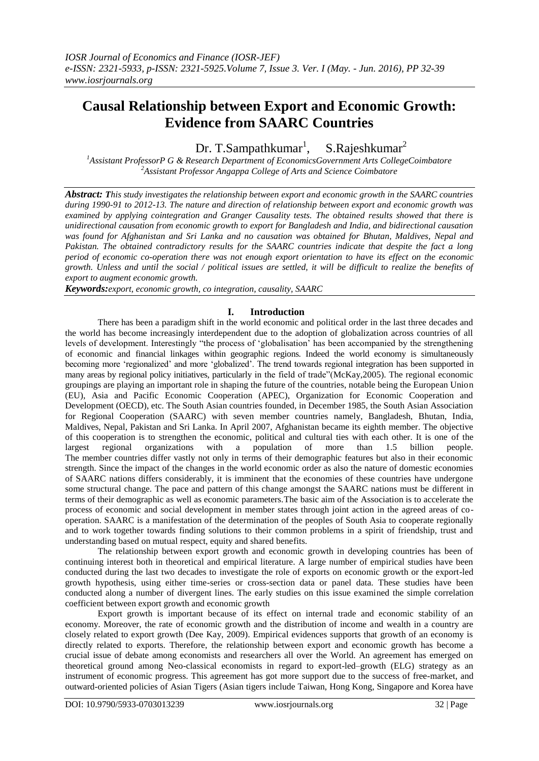# **Causal Relationship between Export and Economic Growth: Evidence from SAARC Countries**

 $Dr. T.Sampathkumar<sup>1</sup>$ ,  $S.Ra$ ieshkumar<sup>2</sup>

*<sup>1</sup>Assistant ProfessorP G & Research Department of EconomicsGovernment Arts CollegeCoimbatore <sup>2</sup>Assistant Professor Angappa College of Arts and Science Coimbatore*

*Abstract: This study investigates the relationship between export and economic growth in the SAARC countries during 1990-91 to 2012-13. The nature and direction of relationship between export and economic growth was examined by applying cointegration and Granger Causality tests. The obtained results showed that there is unidirectional causation from economic growth to export for Bangladesh and India, and bidirectional causation was found for Afghanistan and Sri Lanka and no causation was obtained for Bhutan, Maldives, Nepal and Pakistan. The obtained contradictory results for the SAARC countries indicate that despite the fact a long period of economic co-operation there was not enough export orientation to have its effect on the economic growth. Unless and until the social / political issues are settled, it will be difficult to realize the benefits of export to augment economic growth.* 

*Keywords:export, economic growth, co integration, causality, SAARC*

## **I. Introduction**

There has been a paradigm shift in the world economic and political order in the last three decades and the world has become increasingly interdependent due to the adoption of globalization across countries of all levels of development. Interestingly "the process of "globalisation" has been accompanied by the strengthening of economic and financial linkages within geographic regions. Indeed the world economy is simultaneously becoming more 'regionalized' and more 'globalized'. The trend towards regional integration has been supported in many areas by regional policy initiatives, particularly in the field of trade"(McKay,2005). The regional economic groupings are playing an important role in shaping the future of the countries, notable being the European Union (EU), Asia and Pacific Economic Cooperation (APEC), Organization for Economic Cooperation and Development (OECD), etc. The South Asian countries founded, in December 1985, the South Asian Association for Regional Cooperation (SAARC) with seven member countries namely, Bangladesh, Bhutan, India, Maldives, Nepal, Pakistan and Sri Lanka. In April 2007, Afghanistan became its eighth member. The objective of this cooperation is to strengthen the economic, political and cultural ties with each other. It is one of the largest regional organizations with a population of more than 1.5 billion people. The member countries differ vastly not only in terms of their demographic features but also in their economic strength. Since the impact of the changes in the world economic order as also the nature of domestic economies of SAARC nations differs considerably, it is imminent that the economies of these countries have undergone some structural change. The pace and pattern of this change amongst the SAARC nations must be different in terms of their demographic as well as economic parameters.The basic aim of the Association is to accelerate the process of economic and social development in member states through joint action in the agreed areas of cooperation. SAARC is a manifestation of the determination of the peoples of South Asia to cooperate regionally and to work together towards finding solutions to their common problems in a spirit of friendship, trust and understanding based on mutual respect, equity and shared benefits.

The relationship between export growth and economic growth in developing countries has been of continuing interest both in theoretical and empirical literature. A large number of empirical studies have been conducted during the last two decades to investigate the role of exports on economic growth or the export-led growth hypothesis, using either time-series or cross-section data or panel data. These studies have been conducted along a number of divergent lines. The early studies on this issue examined the simple correlation coefficient between export growth and economic growth

Export growth is important because of its effect on internal trade and economic stability of an economy. Moreover, the rate of economic growth and the distribution of income and wealth in a country are closely related to export growth (Dee Kay, 2009). Empirical evidences supports that growth of an economy is directly related to exports. Therefore, the relationship between export and economic growth has become a crucial issue of debate among economists and researchers all over the World. An agreement has emerged on theoretical ground among Neo-classical economists in regard to export-led–growth (ELG) strategy as an instrument of economic progress. This agreement has got more support due to the success of free-market, and outward-oriented policies of Asian Tigers (Asian tigers include Taiwan, Hong Kong, Singapore and Korea have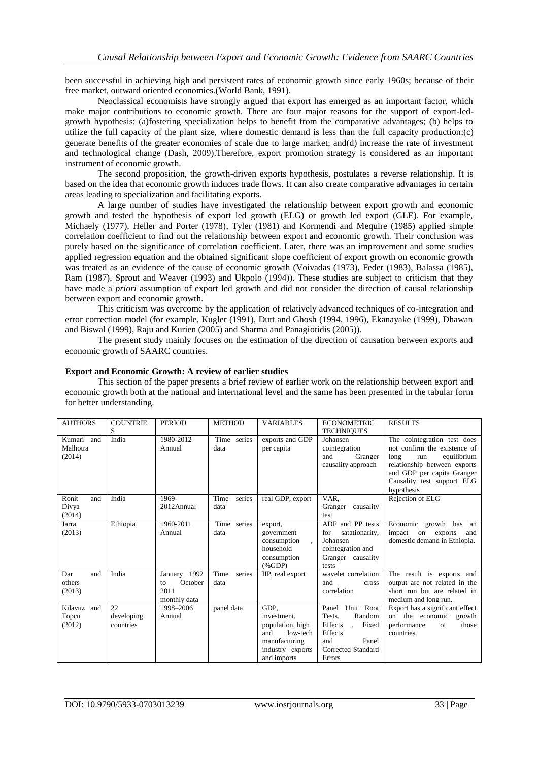been successful in achieving high and persistent rates of economic growth since early 1960s; because of their free market, outward oriented economies.(World Bank, 1991).

Neoclassical economists have strongly argued that export has emerged as an important factor, which make major contributions to economic growth. There are four major reasons for the support of export-ledgrowth hypothesis: (a)fostering specialization helps to benefit from the comparative advantages; (b) helps to utilize the full capacity of the plant size, where domestic demand is less than the full capacity production;(c) generate benefits of the greater economies of scale due to large market; and(d) increase the rate of investment and technological change (Dash, 2009).Therefore, export promotion strategy is considered as an important instrument of economic growth.

The second proposition, the growth-driven exports hypothesis, postulates a reverse relationship. It is based on the idea that economic growth induces trade flows. It can also create comparative advantages in certain areas leading to specialization and facilitating exports.

A large number of studies have investigated the relationship between export growth and economic growth and tested the hypothesis of export led growth (ELG) or growth led export (GLE). For example, Michaely (1977), Heller and Porter (1978), Tyler (1981) and Kormendi and Mequire (1985) applied simple correlation coefficient to find out the relationship between export and economic growth. Their conclusion was purely based on the significance of correlation coefficient. Later, there was an improvement and some studies applied regression equation and the obtained significant slope coefficient of export growth on economic growth was treated as an evidence of the cause of economic growth (Voivadas (1973), Feder (1983), Balassa (1985), Ram (1987), Sprout and Weaver (1993) and Ukpolo (1994)). These studies are subject to criticism that they have made a *priori* assumption of export led growth and did not consider the direction of causal relationship between export and economic growth.

This criticism was overcome by the application of relatively advanced techniques of co-integration and error correction model (for example, Kugler (1991), Dutt and Ghosh (1994, 1996), Ekanayake (1999), Dhawan and Biswal (1999), Raju and Kurien (2005) and Sharma and Panagiotidis (2005)).

The present study mainly focuses on the estimation of the direction of causation between exports and economic growth of SAARC countries.

#### **Export and Economic Growth: A review of earlier studies**

This section of the paper presents a brief review of earlier work on the relationship between export and economic growth both at the national and international level and the same has been presented in the tabular form for better understanding.

| <b>AUTHORS</b>                   | <b>COUNTRIE</b><br>S           | <b>PERIOD</b>                                         | <b>METHOD</b>          | <b>VARIABLES</b>                                                                                               | <b>ECONOMETRIC</b><br><b>TECHNIQUES</b>                                                                                               | <b>RESULTS</b>                                                                                                                                                                                      |
|----------------------------------|--------------------------------|-------------------------------------------------------|------------------------|----------------------------------------------------------------------------------------------------------------|---------------------------------------------------------------------------------------------------------------------------------------|-----------------------------------------------------------------------------------------------------------------------------------------------------------------------------------------------------|
| Kumari and<br>Malhotra<br>(2014) | India                          | 1980-2012<br>Annual                                   | Time series<br>data    | exports and GDP<br>per capita                                                                                  | Johansen<br>cointegration<br>Granger<br>and<br>causality approach                                                                     | The cointegration test does<br>not confirm the existence of<br>long<br>equilibrium<br>run<br>relationship between exports<br>and GDP per capita Granger<br>Causality test support ELG<br>hypothesis |
| Ronit<br>and<br>Divya<br>(2014)  | India                          | 1969-<br>2012Annual                                   | series<br>Time<br>data | real GDP, export                                                                                               | VAR.<br>causality<br>Granger<br>test                                                                                                  | Rejection of ELG                                                                                                                                                                                    |
| Jarra<br>(2013)                  | Ethiopia                       | 1960-2011<br>Annual                                   | Time series<br>data    | export,<br>government<br>consumption<br>household<br>consumption<br>$(\%GDP)$                                  | ADF and PP tests<br>for<br>satationarity,<br>Johansen<br>cointegration and<br>Granger causality<br>tests                              | Economic<br>growth has<br>an<br>impact<br>on<br>exports<br>and<br>domestic demand in Ethiopia.                                                                                                      |
| and<br>Dar<br>others<br>(2013)   | India                          | January 1992<br>October<br>to<br>2011<br>monthly data | Time<br>series<br>data | IIP, real export                                                                                               | wavelet correlation<br>and<br>cross<br>correlation                                                                                    | The result is exports and<br>output are not related in the<br>short run but are related in<br>medium and long run.                                                                                  |
| Kilavuz and<br>Topcu<br>(2012)   | 22.<br>developing<br>countries | 1998-2006<br>Annual                                   | panel data             | GDP.<br>investment,<br>population, high<br>and<br>low-tech<br>manufacturing<br>industry exports<br>and imports | Unit Root<br>Panel<br>Random<br>Tests,<br>Effects<br>Fixed<br>$\mathbf{r}$<br>Effects<br>and<br>Panel<br>Corrected Standard<br>Errors | Export has a significant effect<br>on the economic growth<br>performance<br>of<br>those<br>countries.                                                                                               |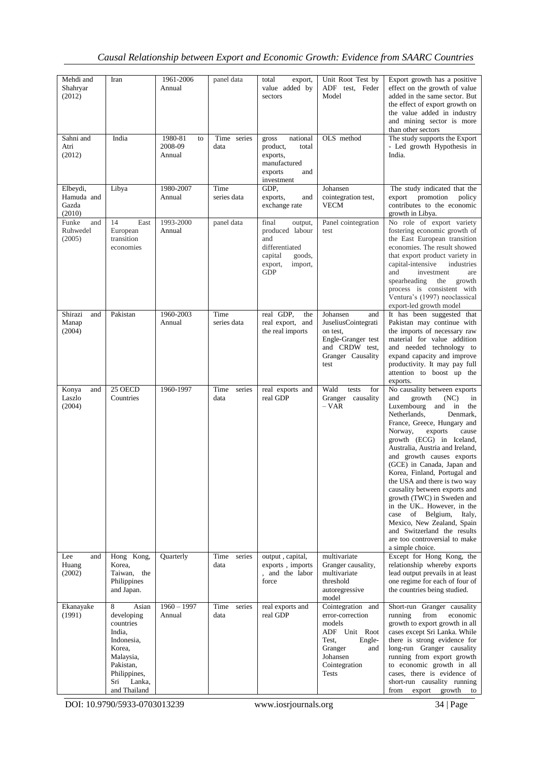| Mehdi and<br>Shahryar<br>(2012)           | Iran                                                                                                                                               | 1961-2006<br>Annual                | panel data             | total<br>export,<br>value added by<br>sectors                                                                         | Unit Root Test by<br>ADF test, Feder<br>Model                                                                                                      | Export growth has a positive<br>effect on the growth of value<br>added in the same sector. But<br>the effect of export growth on<br>the value added in industry<br>and mining sector is more<br>than other sectors                                                                                                                                                                                                                                                                                                                                                                                                            |
|-------------------------------------------|----------------------------------------------------------------------------------------------------------------------------------------------------|------------------------------------|------------------------|-----------------------------------------------------------------------------------------------------------------------|----------------------------------------------------------------------------------------------------------------------------------------------------|-------------------------------------------------------------------------------------------------------------------------------------------------------------------------------------------------------------------------------------------------------------------------------------------------------------------------------------------------------------------------------------------------------------------------------------------------------------------------------------------------------------------------------------------------------------------------------------------------------------------------------|
| Sahni and<br>Atri<br>(2012)               | India                                                                                                                                              | 1980-81<br>to<br>2008-09<br>Annual | Time series<br>data    | national<br>gross<br>product,<br>total<br>exports,<br>manufactured<br>exports<br>and<br>investment                    | OLS method                                                                                                                                         | The study supports the Export<br>- Led growth Hypothesis in<br>India.                                                                                                                                                                                                                                                                                                                                                                                                                                                                                                                                                         |
| Elbeydi,<br>Hamuda and<br>Gazda<br>(2010) | Libya                                                                                                                                              | 1980-2007<br>Annual                | Time<br>series data    | GDP,<br>exports,<br>and<br>exchange rate                                                                              | Johansen<br>cointegration test,<br><b>VECM</b>                                                                                                     | The study indicated that the<br>promotion<br>export<br>policy<br>contributes to the economic<br>growth in Libya.                                                                                                                                                                                                                                                                                                                                                                                                                                                                                                              |
| Funke<br>and<br>Ruhwedel<br>(2005)        | 14<br>East<br>European<br>transition<br>economies                                                                                                  | 1993-2000<br>Annual                | panel data             | final<br>output,<br>produced labour<br>and<br>differentiated<br>capital<br>goods,<br>export,<br>import,<br><b>GDP</b> | Panel cointegration<br>test                                                                                                                        | No role of export variety<br>fostering economic growth of<br>the East European transition<br>economies. The result showed<br>that export product variety in<br>capital-intensive<br>industries<br>and<br>investment<br>are<br>spearheading<br>the<br>growth<br>process is consistent with<br>Ventura's (1997) neoclassical<br>export-led growth model                                                                                                                                                                                                                                                                         |
| Shirazi<br>and<br>Manap<br>(2004)         | Pakistan                                                                                                                                           | 1960-2003<br>Annual                | Time<br>series data    | real GDP,<br>the<br>real export, and<br>the real imports                                                              | Johansen<br>and<br>JuseliusCointegrati<br>on test,<br>Engle-Granger test<br>and CRDW test,<br>Granger Causality<br>test                            | It has been suggested that<br>Pakistan may continue with<br>the imports of necessary raw<br>material for value addition<br>and needed technology to<br>expand capacity and improve<br>productivity. It may pay full<br>attention to boost up the<br>exports.                                                                                                                                                                                                                                                                                                                                                                  |
| and<br>Konya<br>Laszlo<br>(2004)          | 25 OECD<br>Countries                                                                                                                               | 1960-1997                          | Time<br>series<br>data | real exports and<br>real GDP                                                                                          | Wald<br>tests<br>for<br>Granger causality<br>$- VAR$                                                                                               | No causality between exports<br>growth<br>(NC)<br>and<br>in<br>Luxembourg<br>and in<br>the<br>Netherlands,<br>Denmark,<br>France, Greece, Hungary and<br>Norway,<br>exports<br>cause<br>growth (ECG) in Iceland,<br>Australia, Austria and Ireland,<br>and growth causes exports<br>(GCE) in Canada, Japan and<br>Korea, Finland, Portugal and<br>the USA and there is two way<br>causality between exports and<br>growth (TWC) in Sweden and<br>in the UK However, in the<br>of Belgium,<br>case<br>Italy,<br>Mexico, New Zealand, Spain<br>and Switzerland the results<br>are too controversial to make<br>a simple choice. |
| Lee<br>and<br>Huang<br>(2002)             | Hong Kong,<br>Korea,<br>Taiwan, the<br>Philippines<br>and Japan.                                                                                   | Quarterly                          | Time<br>series<br>data | output, capital,<br>exports, imports<br>, and the labor<br>force                                                      | multivariate<br>Granger causality,<br>multivariate<br>threshold<br>autoregressive<br>model                                                         | Except for Hong Kong, the<br>relationship whereby exports<br>lead output prevails in at least<br>one regime for each of four of<br>the countries being studied.                                                                                                                                                                                                                                                                                                                                                                                                                                                               |
| Ekanayake<br>(1991)                       | 8<br>Asian<br>developing<br>countries<br>India,<br>Indonesia,<br>Korea,<br>Malaysia,<br>Pakistan,<br>Philippines,<br>Lanka,<br>Sri<br>and Thailand | $1960 - 1997$<br>Annual            | Time<br>series<br>data | real exports and<br>real GDP                                                                                          | Cointegration and<br>error-correction<br>models<br>ADF Unit Root<br>Test.<br>Engle-<br>Granger<br>and<br>Johansen<br>Cointegration<br><b>Tests</b> | Short-run Granger causality<br>running<br>from<br>economic<br>growth to export growth in all<br>cases except Sri Lanka. While<br>there is strong evidence for<br>long-run Granger causality<br>running from export growth<br>to economic growth in all<br>cases, there is evidence of<br>short-run causality running<br>export growth to<br>from                                                                                                                                                                                                                                                                              |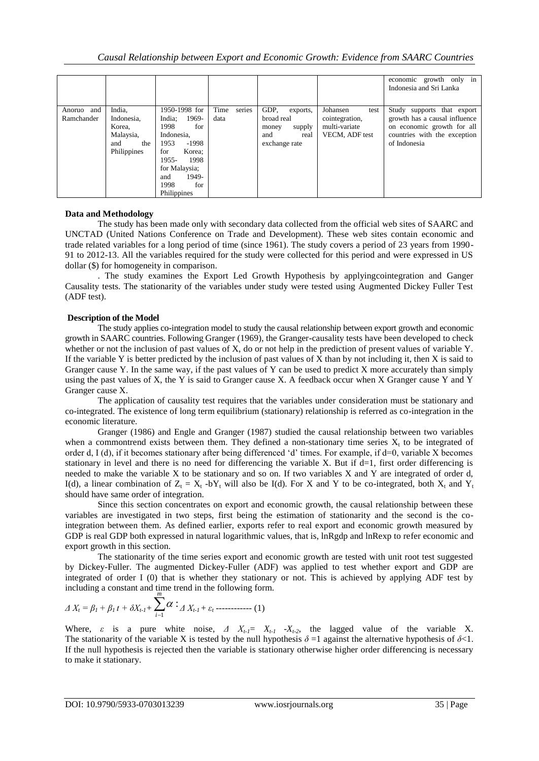|                          |                                                                          |                                                                                                                                                                                   |                        |                                                                                   |                                                                       | economic growth only in<br>Indonesia and Sri Lanka                                                                                        |
|--------------------------|--------------------------------------------------------------------------|-----------------------------------------------------------------------------------------------------------------------------------------------------------------------------------|------------------------|-----------------------------------------------------------------------------------|-----------------------------------------------------------------------|-------------------------------------------------------------------------------------------------------------------------------------------|
| Anoruo and<br>Ramchander | India,<br>Indonesia,<br>Korea,<br>Malaysia,<br>the<br>and<br>Philippines | 1950-1998 for<br>1969-<br>India;<br>1998<br>for<br>Indonesia,<br>1953<br>$-1998$<br>for<br>Korea;<br>1955-<br>1998<br>for Malaysia;<br>1949-<br>and<br>for<br>1998<br>Philippines | Time<br>series<br>data | GDP.<br>exports,<br>broad real<br>supply<br>money<br>and<br>real<br>exchange rate | Johansen<br>test<br>cointegration,<br>multi-variate<br>VECM, ADF test | Study supports that export<br>growth has a causal influence<br>on economic growth for all<br>countries with the exception<br>of Indonesia |

### **Data and Methodology**

The study has been made only with secondary data collected from the official web sites of SAARC and UNCTAD (United Nations Conference on Trade and Development). These web sites contain economic and trade related variables for a long period of time (since 1961). The study covers a period of 23 years from 1990- 91 to 2012-13. All the variables required for the study were collected for this period and were expressed in US dollar (\$) for homogeneity in comparison.

. The study examines the Export Led Growth Hypothesis by applyingcointegration and Ganger Causality tests. The stationarity of the variables under study were tested using Augmented Dickey Fuller Test (ADF test).

#### **Description of the Model**

The study applies co-integration model to study the causal relationship between export growth and economic growth in SAARC countries. Following Granger (1969), the Granger-causality tests have been developed to check whether or not the inclusion of past values of X, do or not help in the prediction of present values of variable Y. If the variable Y is better predicted by the inclusion of past values of X than by not including it, then X is said to Granger cause Y. In the same way, if the past values of Y can be used to predict X more accurately than simply using the past values of X, the Y is said to Granger cause X. A feedback occur when X Granger cause Y and Y Granger cause X.

The application of causality test requires that the variables under consideration must be stationary and co-integrated. The existence of long term equilibrium (stationary) relationship is referred as co-integration in the economic literature.

Granger (1986) and Engle and Granger (1987) studied the causal relationship between two variables when a commontrend exists between them. They defined a non-stationary time series  $X_t$  to be integrated of order d, I (d), if it becomes stationary after being differenced "d" times. For example, if d=0, variable X becomes stationary in level and there is no need for differencing the variable X. But if  $d=1$ , first order differencing is needed to make the variable X to be stationary and so on. If two variables X and Y are integrated of order d, I(d), a linear combination of  $Z_t = X_t$  -bY<sub>t</sub> will also be I(d). For X and Y to be co-integrated, both  $X_t$  and Y<sub>t</sub> should have same order of integration.

Since this section concentrates on export and economic growth, the causal relationship between these variables are investigated in two steps, first being the estimation of stationarity and the second is the cointegration between them. As defined earlier, exports refer to real export and economic growth measured by GDP is real GDP both expressed in natural logarithmic values, that is, lnRgdp and lnRexp to refer economic and export growth in this section.

The stationarity of the time series export and economic growth are tested with unit root test suggested by Dickey-Fuller. The augmented Dickey-Fuller (ADF) was applied to test whether export and GDP are integrated of order I (0) that is whether they stationary or not. This is achieved by applying ADF test by including a constant and time trend in the following form. *m*

$$
\Delta X_t = \beta_I + \beta_I t + \delta X_{t-1} + \sum_{i=1}^m \alpha \cdot \Delta X_{t-1} + \varepsilon_t
$$

Where,  $\varepsilon$  is a pure white noise,  $\Delta X_{t-1} = X_{t-1} - X_{t-2}$ , the lagged value of the variable X. The stationarity of the variable X is tested by the null hypothesis  $\delta = 1$  against the alternative hypothesis of  $\delta < 1$ . If the null hypothesis is rejected then the variable is stationary otherwise higher order differencing is necessary to make it stationary.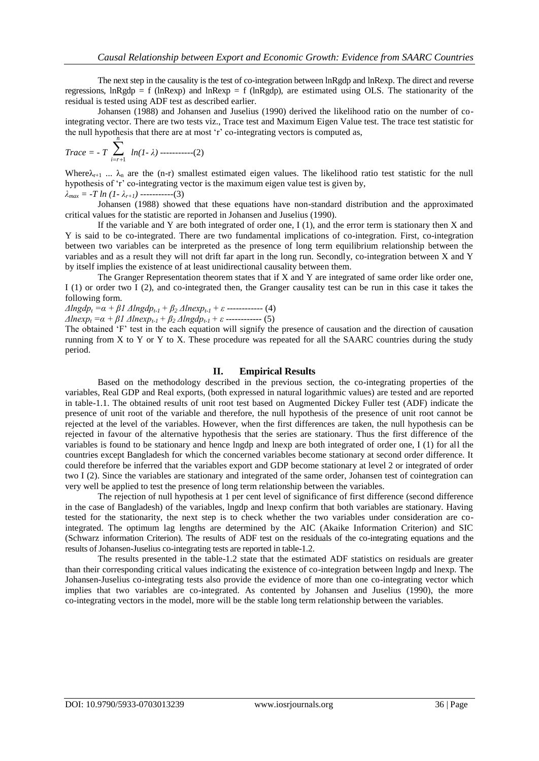The next step in the causality is the test of co-integration between lnRgdp and lnRexp. The direct and reverse regressions,  $\ln R$ gdp = f (lnRexp) and lnRexp = f (lnRgdp), are estimated using OLS. The stationarity of the residual is tested using ADF test as described earlier.

Johansen (1988) and Johansen and Juselius (1990) derived the likelihood ratio on the number of cointegrating vector. There are two tests viz., Trace test and Maximum Eigen Value test. The trace test statistic for the null hypothesis that there are at most 'r' co-integrating vectors is computed as,

$$
Trace = -T \sum_{i=r+1}^{ } ln(I - \lambda) \cdots (2)
$$

Where $\lambda_{r+1}$  ...  $\lambda_n$  are the (n-r) smallest estimated eigen values. The likelihood ratio test statistic for the null hypothesis of 'r' co-integrating vector is the maximum eigen value test is given by,

*λ*<sub>max</sub> = -*T ln* (*1* - *λ<sub>r+1</sub>*) ------------(3)

Johansen (1988) showed that these equations have non-standard distribution and the approximated critical values for the statistic are reported in Johansen and Juselius (1990).

If the variable and Y are both integrated of order one,  $I(1)$ , and the error term is stationary then X and Y is said to be co-integrated. There are two fundamental implications of co-integration. First, co-integration between two variables can be interpreted as the presence of long term equilibrium relationship between the variables and as a result they will not drift far apart in the long run. Secondly, co-integration between X and Y by itself implies the existence of at least unidirectional causality between them.

The Granger Representation theorem states that if X and Y are integrated of same order like order one, I (1) or order two I (2), and co-integrated then, the Granger causality test can be run in this case it takes the following form.

*Δlngdp<sup>t</sup> =α + β1 Δlngdpt-1 + β<sup>2</sup> Δlnexpt-1 + ε* ------------ (4)

 $Δln exp<sub>t</sub> = α + β1 Δln exp<sub>t-1</sub> + β<sub>2</sub> Δlngdp<sub>t-1</sub> + ε$  ------------ (5)

The obtained "F" test in the each equation will signify the presence of causation and the direction of causation running from X to Y or Y to X. These procedure was repeated for all the SAARC countries during the study period.

#### **II. Empirical Results**

Based on the methodology described in the previous section, the co-integrating properties of the variables, Real GDP and Real exports, (both expressed in natural logarithmic values) are tested and are reported in table-1.1. The obtained results of unit root test based on Augmented Dickey Fuller test (ADF) indicate the presence of unit root of the variable and therefore, the null hypothesis of the presence of unit root cannot be rejected at the level of the variables. However, when the first differences are taken, the null hypothesis can be rejected in favour of the alternative hypothesis that the series are stationary. Thus the first difference of the variables is found to be stationary and hence lngdp and lnexp are both integrated of order one, I (1) for all the countries except Bangladesh for which the concerned variables become stationary at second order difference. It could therefore be inferred that the variables export and GDP become stationary at level 2 or integrated of order two I (2). Since the variables are stationary and integrated of the same order, Johansen test of cointegration can very well be applied to test the presence of long term relationship between the variables.

The rejection of null hypothesis at 1 per cent level of significance of first difference (second difference in the case of Bangladesh) of the variables, lngdp and lnexp confirm that both variables are stationary. Having tested for the stationarity, the next step is to check whether the two variables under consideration are cointegrated. The optimum lag lengths are determined by the AIC (Akaike Information Criterion) and SIC (Schwarz information Criterion). The results of ADF test on the residuals of the co-integrating equations and the results of Johansen-Juselius co-integrating tests are reported in table-1.2.

The results presented in the table-1.2 state that the estimated ADF statistics on residuals are greater than their corresponding critical values indicating the existence of co-integration between lngdp and lnexp. The Johansen-Juselius co-integrating tests also provide the evidence of more than one co-integrating vector which implies that two variables are co-integrated. As contented by Johansen and Juselius (1990), the more co-integrating vectors in the model, more will be the stable long term relationship between the variables.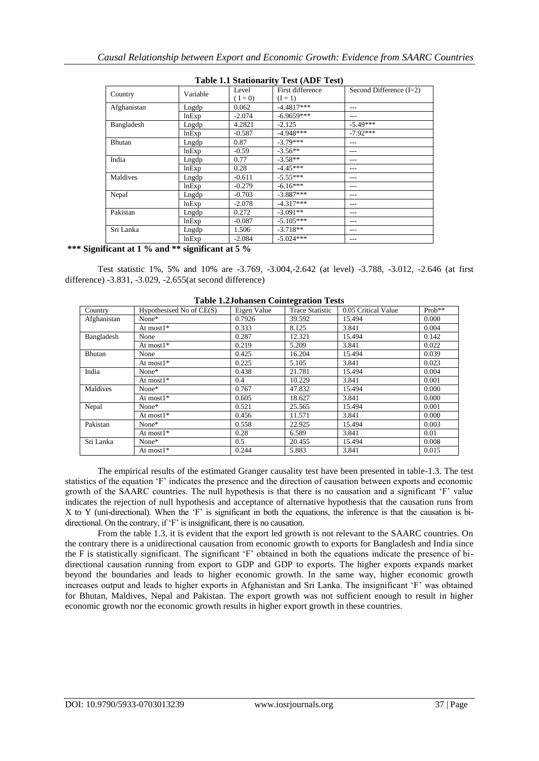| Table 1.1 Stationarity Test (ADT Test) |          |                    |                               |                           |  |  |
|----------------------------------------|----------|--------------------|-------------------------------|---------------------------|--|--|
| Country                                | Variable | Level<br>$(I = 0)$ | First difference<br>$(I = 1)$ | Second Difference $(I=2)$ |  |  |
| Afghanistan                            | Lngdp    | 0.062              | $-4.4817***$                  | ---                       |  |  |
|                                        | lnExp    | $-2.074$           | $-6.9659***$                  | ---                       |  |  |
| Bangladesh                             | Lngdp    | 4.2821             | $-2.125$                      | $-5.49***$                |  |  |
|                                        | lnExp    | $-0.587$           | $-4.948***$                   | $-7.92***$                |  |  |
| Bhutan                                 | Lngdp    | 0.87               | $-3.79***$                    | ---                       |  |  |
|                                        | lnExp    | $-0.59$            | $-3.56**$                     | ---                       |  |  |
| India                                  | Lngdp    | 0.77               | $-3.58**$                     | ---                       |  |  |
|                                        | lnExp    | 0.28               | $-4.45***$                    | ---                       |  |  |
| Maldives                               | Lngdp    | $-0.611$           | $-5.55***$                    | ---                       |  |  |
|                                        | lnExp    | $-0.279$           | $-6.16***$                    | ---                       |  |  |
| Nepal                                  | Lngdp    | $-0.703$           | $-3.887***$                   | ---                       |  |  |
|                                        | lnExp    | $-2.078$           | $-4.317***$                   | ---                       |  |  |
| Pakistan                               | Lngdp    | 0.272              | $-3.091**$                    | ---                       |  |  |
|                                        | lnExp    | $-0.087$           | $-5.105***$                   | ---                       |  |  |
| Sri Lanka                              | Lngdp    | 1.506              | $-3.718**$                    | ---                       |  |  |
|                                        | lnExp    | $-2.084$           | $-5.024***$                   | ---                       |  |  |
|                                        |          |                    |                               |                           |  |  |

## **Table 1.1 Stationarity Test (ADF Test)**

**\*\*\* Significant at 1 % and \*\* significant at 5 %**

Test statistic 1%, 5% and 10% are -3.769, -3.004,-2.642 (at level) -3.788, -3.012, -2.646 (at first difference) -3.831, -3.029, -2.655(at second difference)

| Table 1.2Jonalisen Connegration Tests |                            |             |                        |                     |          |  |  |
|---------------------------------------|----------------------------|-------------|------------------------|---------------------|----------|--|--|
| Country                               | Hypothesised No of $CE(S)$ | Eigen Value | <b>Trace Statistic</b> | 0.05 Critical Value | $Prob**$ |  |  |
| Afghanistan                           | None*                      | 0.7926      | 39.592                 | 15.494              | 0.000    |  |  |
|                                       | At most $1^*$              | 0.333       | 8.125                  | 3.841               | 0.004    |  |  |
| Bangladesh                            | None                       | 0.287       | 12.321                 | 15.494              | 0.142    |  |  |
|                                       | At most $1^*$              | 0.219       | 5.209                  | 3.841               | 0.022    |  |  |
| Bhutan                                | None                       | 0.425       | 16.204                 | 15.494              | 0.039    |  |  |
|                                       | At most $1^*$              | 0.225       | 5.105                  | 3.841               | 0.023    |  |  |
| India                                 | $None*$                    | 0.438       | 21.781                 | 15.494              | 0.004    |  |  |
|                                       | At most $1^*$              | 0.4         | 10.229                 | 3.841               | 0.001    |  |  |
| Maldives                              | None*                      | 0.767       | 47.832                 | 15.494              | 0.000    |  |  |
|                                       | At most $1*$               | 0.605       | 18.627                 | 3.841               | 0.000    |  |  |
| Nepal                                 | None*                      | 0.521       | 25.565                 | 15.494              | 0.001    |  |  |
|                                       | At most $1^*$              | 0.456       | 11.571                 | 3.841               | 0.000    |  |  |
| Pakistan                              | None*                      | 0.558       | 22.925                 | 15.494              | 0.003    |  |  |
|                                       | At most $1^*$              | 0.28        | 6.589                  | 3.841               | 0.01     |  |  |
| Sri Lanka                             | None*                      | 0.5         | 20.455                 | 15.494              | 0.008    |  |  |
|                                       | At most $1^*$              | 0.244       | 5.883                  | 3.841               | 0.015    |  |  |

**Table 1.2Johansen Cointegration Tests**

The empirical results of the estimated Granger causality test have been presented in table-1.3. The test statistics of the equation "F" indicates the presence and the direction of causation between exports and economic growth of the SAARC countries. The null hypothesis is that there is no causation and a significant "F" value indicates the rejection of null hypothesis and acceptance of alternative hypothesis that the causation runs from X to Y (uni-directional). When the "F" is significant in both the equations, the inference is that the causation is bidirectional. On the contrary, if 'F' is insignificant, there is no causation.

From the table 1.3, it is evident that the export led growth is not relevant to the SAARC countries. On the contrary there is a unidirectional causation from economic growth to exports for Bangladesh and India since the F is statistically significant. The significant "F" obtained in both the equations indicate the presence of bidirectional causation running from export to GDP and GDP to exports. The higher exports expands market beyond the boundaries and leads to higher economic growth. In the same way, higher economic growth increases output and leads to higher exports in Afghanistan and Sri Lanka. The insignificant "F" was obtained for Bhutan, Maldives, Nepal and Pakistan. The export growth was not sufficient enough to result in higher economic growth nor the economic growth results in higher export growth in these countries.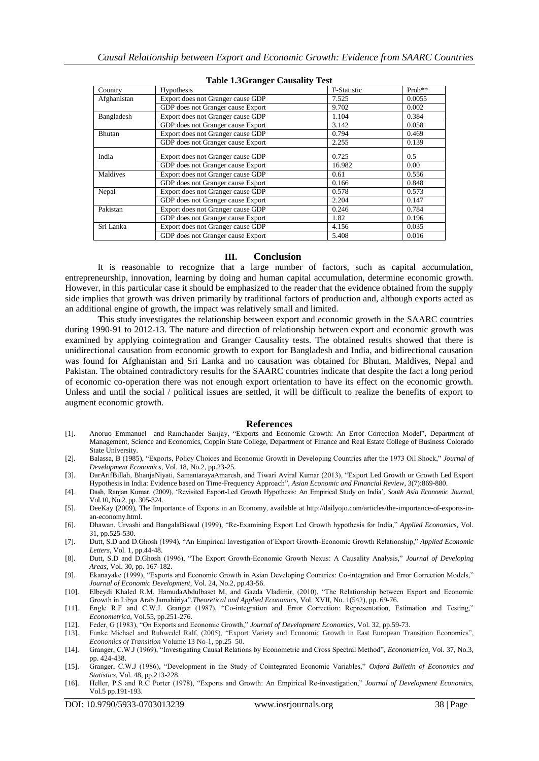| Country       | Hypothesis                        | F-Statistic | $Prob**$ |
|---------------|-----------------------------------|-------------|----------|
| Afghanistan   | Export does not Granger cause GDP | 7.525       | 0.0055   |
|               | GDP does not Granger cause Export | 9.702       | 0.002    |
| Bangladesh    | Export does not Granger cause GDP | 1.104       | 0.384    |
|               | GDP does not Granger cause Export | 3.142       | 0.058    |
| <b>Bhutan</b> | Export does not Granger cause GDP | 0.794       | 0.469    |
|               | GDP does not Granger cause Export | 2.255       | 0.139    |
| India         | Export does not Granger cause GDP | 0.725       | 0.5      |
|               | GDP does not Granger cause Export | 16.982      | 0.00     |
| Maldives      | Export does not Granger cause GDP | 0.61        | 0.556    |
|               | GDP does not Granger cause Export | 0.166       | 0.848    |
| Nepal         | Export does not Granger cause GDP | 0.578       | 0.573    |
|               | GDP does not Granger cause Export | 2.204       | 0.147    |
| Pakistan      | Export does not Granger cause GDP | 0.246       | 0.784    |
|               | GDP does not Granger cause Export | 1.82        | 0.196    |
| Sri Lanka     | Export does not Granger cause GDP | 4.156       | 0.035    |
|               | GDP does not Granger cause Export | 5.408       | 0.016    |

#### **Table 1.3Granger Causality Test**

#### **III. Conclusion**

It is reasonable to recognize that a large number of factors, such as capital accumulation, entrepreneurship, innovation, learning by doing and human capital accumulation, determine economic growth. However, in this particular case it should be emphasized to the reader that the evidence obtained from the supply side implies that growth was driven primarily by traditional factors of production and, although exports acted as an additional engine of growth, the impact was relatively small and limited.

**T**his study investigates the relationship between export and economic growth in the SAARC countries during 1990-91 to 2012-13. The nature and direction of relationship between export and economic growth was examined by applying cointegration and Granger Causality tests. The obtained results showed that there is unidirectional causation from economic growth to export for Bangladesh and India, and bidirectional causation was found for Afghanistan and Sri Lanka and no causation was obtained for Bhutan, Maldives, Nepal and Pakistan. The obtained contradictory results for the SAARC countries indicate that despite the fact a long period of economic co-operation there was not enough export orientation to have its effect on the economic growth. Unless and until the social / political issues are settled, it will be difficult to realize the benefits of export to augment economic growth.

#### **References**

- [1]. Anoruo Emmanuel and Ramchander Sanjay, "Exports and Economic Growth: An Error Correction Model", Department of Management, Science and Economics, Coppin State College, Department of Finance and Real Estate College of Business Colorado State University.
- [2]. Balassa, B (1985), "Exports, Policy Choices and Economic Growth in Developing Countries after the 1973 Oil Shock," *Journal of Development Economics*, Vol. 18, No.2, pp.23-25.
- [3]. DarArifBillah, BhanjaNiyati, SamantarayaAmaresh, and Tiwari Aviral Kumar (2013), "Export Led Growth or Growth Led Export Hypothesis in India: Evidence based on Time-Frequency Approach", *Asian Economic and Financial Review*, 3(7):869-880.
- [4]. Dash, Ranjan Kumar. (2009), "Revisited Export-Led Growth Hypothesis: An Empirical Study on India", *South Asia Economic Journal*, Vol.10, No.2, pp. 305-324.
- [5]. DeeKay (2009), The Importance of Exports in an Economy, available at http://dailyojo.com/articles/the-importance-of-exports-inan-economy.html.
- [6]. Dhawan, Urvashi and BangalaBiswal (1999), "Re-Examining Export Led Growth hypothesis for India," *Applied Economics*, Vol. 31, pp.525-530.
- [7]. Dutt, S.D and D.Ghosh (1994), "An Empirical Investigation of Export Growth-Economic Growth Relationship," *Applied Economic Letters*, Vol. 1, pp.44-48.
- [8]. Dutt, S.D and D.Ghosh (1996), "The Export Growth-Economic Growth Nexus: A Causality Analysis," *Journal of Developing Areas*, Vol. 30, pp. 167-182.
- [9]. Ekanayake (1999), "Exports and Economic Growth in Asian Developing Countries: Co-integration and Error Correction Models," *Journal of Economic Development*, Vol. 24, No.2, pp.43-56.
- [10]. Elbeydi Khaled R.M, HamudaAbdulbaset M, and Gazda Vladimir, (2010), "The Relationship between Export and Economic Growth in Libya Arab Jamahiriya",*Theoretical and Applied Economics*, Vol. XVII, No. 1(542), pp. 69-76.
- [11]. Engle R.F and C.W.J. Granger (1987), "Co-integration and Error Correction: Representation, Estimation and Testing," *Econometrica*, Vol.55, pp.251-276.
- [12]. Feder, G (1983), "On Exports and Economic Growth," *Journal of Development Economics*, Vol. 32, pp.59-73.
- [13]. Funke Michael and Ruhwedel Ralf, (2005), "Export Variety and Economic Growth in East European Transition Economies", *Economics of Transition* Volume 13 No-1, pp.25–50.
- [14]. Granger, C.W.J (1969), "Investigating Causal Relations by Econometric and Cross Spectral Method", *Econometrica*, Vol. 37, No.3, pp. 424-438.
- [15]. Granger, C.W.J (1986), "Development in the Study of Cointegrated Economic Variables," *Oxford Bulletin of Economics and Statistics*, Vol. 48, pp.213-228.
- [16]. Heller, P.S and R.C Porter (1978), "Exports and Growth: An Empirical Re-investigation," *Journal of Development Economics*, Vol.5 pp.191-193.